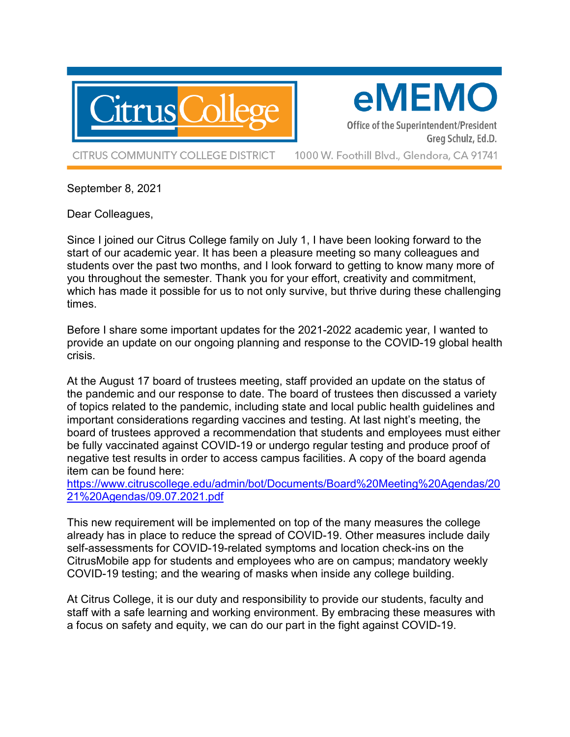

eMEMO

Office of the Superintendent/President Greg Schulz, Ed.D.

**CITRUS COMMUNITY COLLEGE DISTRICT** 

1000 W. Foothill Blvd., Glendora, CA 91741

September 8, 2021

Dear Colleagues,

Since I joined our Citrus College family on July 1, I have been looking forward to the start of our academic year. It has been a pleasure meeting so many colleagues and students over the past two months, and I look forward to getting to know many more of you throughout the semester. Thank you for your effort, creativity and commitment, which has made it possible for us to not only survive, but thrive during these challenging times.

Before I share some important updates for the 2021-2022 academic year, I wanted to provide an update on our ongoing planning and response to the COVID-19 global health crisis.

At the August 17 board of trustees meeting, staff provided an update on the status of the pandemic and our response to date. The board of trustees then discussed a variety of topics related to the pandemic, including state and local public health guidelines and important considerations regarding vaccines and testing. At last night's meeting, the board of trustees approved a recommendation that students and employees must either be fully vaccinated against COVID-19 or undergo regular testing and produce proof of negative test results in order to access campus facilities. A copy of the board agenda item can be found here:

[https://www.citruscollege.edu/admin/bot/Documents/Board%20Meeting%20Agendas/20](https://www.citruscollege.edu/admin/bot/Documents/Board%20Meeting%20Agendas/2021%20Agendas/09.07.2021.pdf) [21%20Agendas/09.07.2021.pdf](https://www.citruscollege.edu/admin/bot/Documents/Board%20Meeting%20Agendas/2021%20Agendas/09.07.2021.pdf)

This new requirement will be implemented on top of the many measures the college already has in place to reduce the spread of COVID-19. Other measures include daily self-assessments for COVID-19-related symptoms and location check-ins on the CitrusMobile app for students and employees who are on campus; mandatory weekly COVID-19 testing; and the wearing of masks when inside any college building.

At Citrus College, it is our duty and responsibility to provide our students, faculty and staff with a safe learning and working environment. By embracing these measures with a focus on safety and equity, we can do our part in the fight against COVID-19.